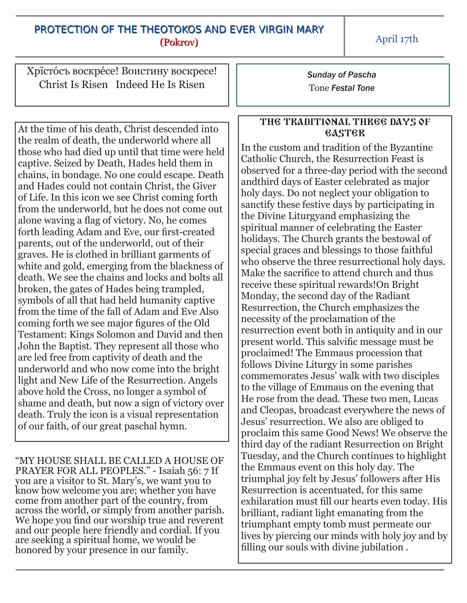## PROTECTION OF THE THEOTOKOS AND EVER VIRGIN MARY (Pokrov)

April 17th

Хрїстóсъ воскрéсе! Воистину воскресе! Christ Is Risen Indeed He Is Risen

At the time of his death, Christ descended into the realm of death, the underworld where all those who had died up until that time were held captive. Seized by Death, Hades held them in chains, in bondage. No one could escape. Death and Hades could not contain Christ, the Giver of Life. In this icon we see Christ coming forth from the underworld, but he does not come out alone waving a flag of victory. No, he comes forth leading Adam and Eve, our first-created parents, out of the underworld, out of their graves. He is clothed in brilliant garments of white and gold, emerging from the blackness of death. We see the chains and locks and bolts all broken, the gates of Hades being trampled, symbols of all that had held humanity captive from the time of the fall of Adam and Eve Also coming forth we see major figures of the Old Testament: Kings Solomon and David and then John the Baptist. They represent all those who are led free from captivity of death and the underworld and who now come into the bright light and New Life of the Resurrection. Angels above hold the Cross, no longer a symbol of shame and death, but now a sign of victory over death. Truly the icon is a visual representation of our faith, of our great paschal hymn.

"MY HOUSE SHALL BE CALLED A HOUSE OF PRAYER FOR ALL PEOPLES." - Isaiah 56: 7 If you are a visitor to St. Mary's, we want you to know how welcome you are; whether you have come from another part of the country, from across the world, or simply from another parish. We hope you find our worship true and reverent and our people here friendly and cordial. If you are seeking a spiritual home, we would be honored by your presence in our family.

*Sunday of Pascha* Tone *Festal Tone*

## THE TRADITIONAL THREE DAYS OF **GASTGR**

In the custom and tradition of the Byzantine Catholic Church, the Resurrection Feast is observed for a three-day period with the second andthird days of Easter celebrated as major holy days. Do not neglect your obligation to sanctify these festive days by participating in the Divine Liturgyand emphasizing the spiritual manner of celebrating the Easter holidays. The Church grants the bestowal of special graces and blessings to those faithful who observe the three resurrectional holy days. Make the sacrifice to attend church and thus receive these spiritual rewards!On Bright Monday, the second day of the Radiant Resurrection, the Church emphasizes the necessity of the proclamation of the resurrection event both in antiquity and in our present world. This salvific message must be proclaimed! The Emmaus procession that follows Divine Liturgy in some parishes commemorates Jesus' walk with two disciples to the village of Emmaus on the evening that He rose from the dead. These two men, Lucas and Cleopas, broadcast everywhere the news of Jesus' resurrection. We also are obliged to proclaim this same Good News! We observe the third day of the radiant Resurrection on Bright Tuesday, and the Church continues to highlight the Emmaus event on this holy day. The triumphal joy felt by Jesus' followers after His Resurrection is accentuated, for this same exhilaration must fill our hearts even today. His brilliant, radiant light emanating from the triumphant empty tomb must permeate our lives by piercing our minds with holy joy and by filling our souls with divine jubilation .